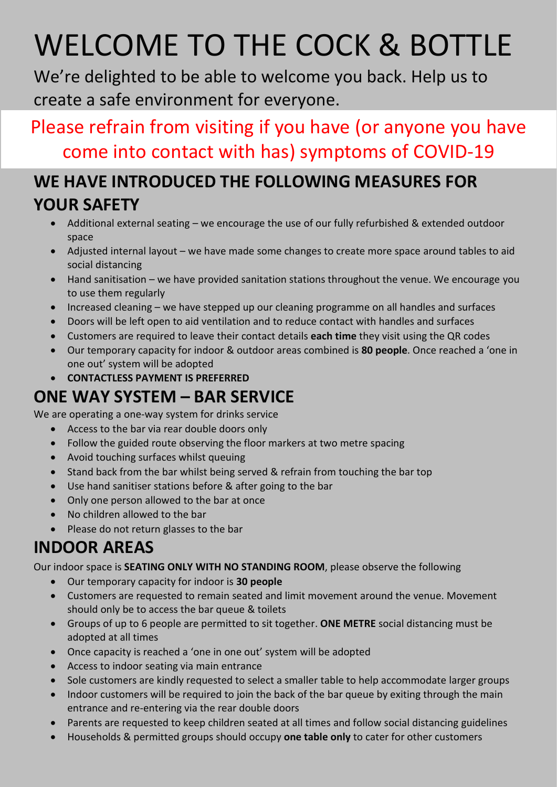# WELCOME TO THE COCK & BOTTLE

We're delighted to be able to welcome you back. Help us to create a safe environment for everyone.

## Please refrain from visiting if you have (or anyone you have come into contact with has) symptoms of COVID-19

#### **WE HAVE INTRODUCED THE FOLLOWING MEASURES FOR YOUR SAFETY**

- Additional external seating we encourage the use of our fully refurbished & extended outdoor space
- Adjusted internal layout we have made some changes to create more space around tables to aid social distancing
- Hand sanitisation we have provided sanitation stations throughout the venue. We encourage you to use them regularly
- Increased cleaning we have stepped up our cleaning programme on all handles and surfaces
- Doors will be left open to aid ventilation and to reduce contact with handles and surfaces
- Customers are required to leave their contact details **each time** they visit using the QR codes
- Our temporary capacity for indoor & outdoor areas combined is **80 people**. Once reached a 'one in one out' system will be adopted
- **CONTACTLESS PAYMENT IS PREFERRED**

## **ONE WAY SYSTEM – BAR SERVICE**

We are operating a one-way system for drinks service

- Access to the bar via rear double doors only
- Follow the guided route observing the floor markers at two metre spacing
- Avoid touching surfaces whilst queuing
- Stand back from the bar whilst being served & refrain from touching the bar top
- Use hand sanitiser stations before & after going to the bar
- Only one person allowed to the bar at once
- No children allowed to the bar
- Please do not return glasses to the bar

## **INDOOR AREAS**

Our indoor space is **SEATING ONLY WITH NO STANDING ROOM**, please observe the following

- Our temporary capacity for indoor is **30 people**
- Customers are requested to remain seated and limit movement around the venue. Movement should only be to access the bar queue & toilets
- Groups of up to 6 people are permitted to sit together. **ONE METRE** social distancing must be adopted at all times
- Once capacity is reached a 'one in one out' system will be adopted
- Access to indoor seating via main entrance
- Sole customers are kindly requested to select a smaller table to help accommodate larger groups
- Indoor customers will be required to join the back of the bar queue by exiting through the main entrance and re-entering via the rear double doors
- Parents are requested to keep children seated at all times and follow social distancing guidelines
- Households & permitted groups should occupy **one table only** to cater for other customers